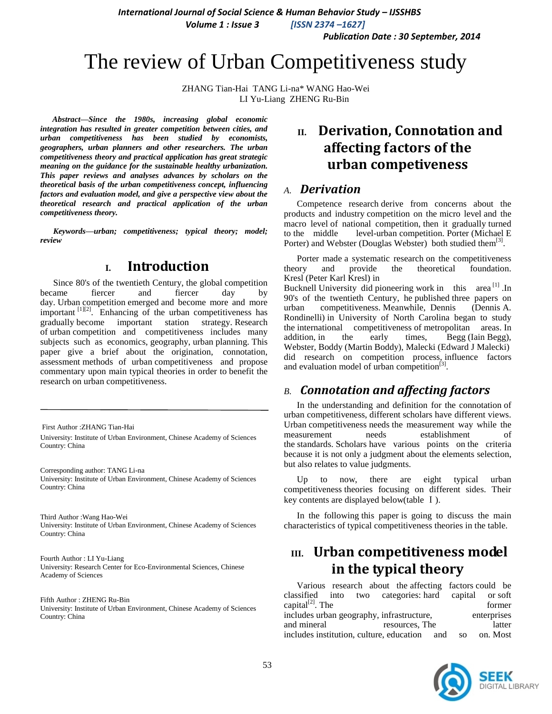*Publication Date : 30 September, 2014*

# The review of Urban Competitiveness study

ZHANG Tian-Hai TANG Li-na\* WANG Hao-Wei LI Yu-Liang ZHENG Ru-Bin

*Abstract—Since the 1980s, increasing global economic integration has resulted in greater competition between cities, and urban competitiveness has been studied by economists, geographers, urban planners and other researchers. The urban competitiveness theory and practical application has great strategic meaning on the guidance for the sustainable healthy urbanization. This paper reviews and analyses advances by scholars on the theoretical basis of the urban competitiveness concept, influencing factors and evaluation model, and give a perspective view about the theoretical research and practical application of the urban competitiveness theory.*

*Keywords—urban; competitiveness; typical theory; model; review*

# **I. Introduction**

Since 80's of the twentieth Century, the global competition became fiercer and fiercer day day. Urban competition emerged and become more and more important  $\left[1\right]$ <sup>[1][2]</sup>. Enhancing of the urban competitiveness has gradually become important station strategy. Research of urban competition and competitiveness includes many subjects such as economics, geography, urban planning. This paper give a brief about the origination, connotation, assessment methods of urban competitiveness and propose commentary upon main typical theories in order to benefit the research on urban competitiveness.

First Author :ZHANG Tian-Hai University: Institute of Urban Environment, Chinese Academy of Sciences Country: China

Corresponding author: TANG Li-na University: Institute of Urban Environment, Chinese Academy of Sciences Country: China

Third Author :Wang Hao-Wei University: Institute of Urban Environment, Chinese Academy of Sciences Country: China

Fourth Author : LI Yu-Liang University: Research Center for Eco-Environmental Sciences, Chinese Academy of Sciences

Fifth Author : ZHENG Ru-Bin University: Institute of Urban Environment, Chinese Academy of Sciences Country: China

# **II. Derivation, Connotation and affecting factors of the urban competiveness**

#### *A. Derivation*

Competence research derive from concerns about the products and industry competition on the micro level and the macro level of national competition, then it gradually turned to the middle level-urban competition. Porter (Michael E Porter) and Webster (Douglas Webster) both studied them<sup>[\[3\]](file:///C:/Users/ired/Local%20Settings/Temporary%20Internet%20Files/Content.IE5/45Y9GZST/中外城市竞争力理论研究综述-完成.doc)</sup>.

Porter made a systematic research on the competitiveness theory and provide the theoretical foundation. Kresl (Peter Karl Kresl) in Bucknell University did pioneering work in this area [1] .In 90's of the twentieth Century, he published three papers on urban competitiveness. Meanwhile, Dennis (Dennis A. Rondinelli) in University of North Carolina began to study the international competitiveness of metropolitan areas. In addition, in the early times, Begg (Iain Begg), Webster, Boddy (Martin Boddy), Malecki (Edward J Malecki) did research on competition process, influence factors and evaluation model of urban competition $^{[3]}$ .

# *B. Connotation and affecting factors*

In the understanding and definition for the connotation of urban competitiveness, different scholars have different views. Urban competitiveness needs the measurement way while the measurement needs establishment of the standards. Scholars have various points on the criteria because it is not only a judgment about the elements selection, but also relates to value judgments.

Up to now, there are eight typical urban competitiveness theories focusing on different sides. Their key contents are displayed below(table Ⅰ).

In the following this paper is going to discuss the main characteristics of typical competitiveness theories in the table.

# **III. Urban competitiveness model in the typical theory**

Various research about the affecting factors could be classified into two categories: hard capital or soft capital<sup>[2]</sup>. The former includes urban geography, infrastructure, enterprises and mineral resources, The latter includes institution, culture, education and so on. Most

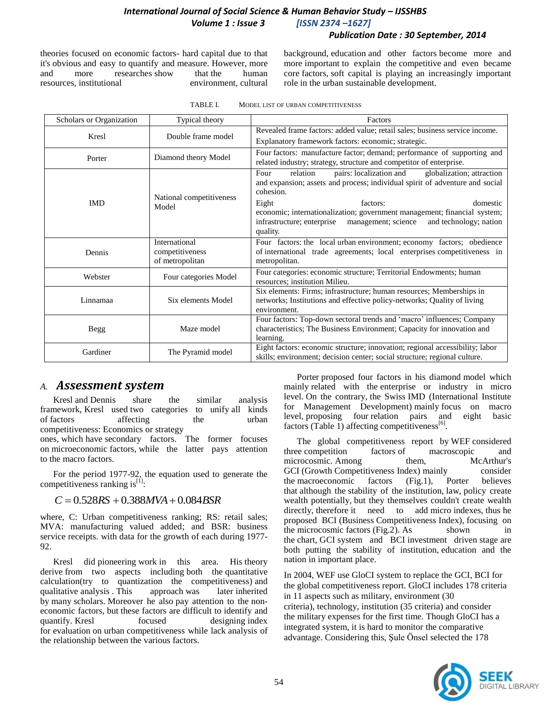#### *Publication Date : 30 September, 2014*

theories focused on economic factors- hard capital due to that it's obvious and easy to quantify and measure. However, more and more researches show that the human resources, institutional environment, cultural background, education and other factors become more and more important to explain the competitive and even became core factors, soft capital is playing an increasingly important role in the urban sustainable development.

| Scholars or Organization | Typical theory                                      | Factors                                                                                                                                                                                                                                                                                                                                                                       |  |  |  |
|--------------------------|-----------------------------------------------------|-------------------------------------------------------------------------------------------------------------------------------------------------------------------------------------------------------------------------------------------------------------------------------------------------------------------------------------------------------------------------------|--|--|--|
| Kresl                    | Double frame model                                  | Revealed frame factors: added value; retail sales; business service income.                                                                                                                                                                                                                                                                                                   |  |  |  |
|                          |                                                     | Explanatory framework factors: economic; strategic.                                                                                                                                                                                                                                                                                                                           |  |  |  |
| Porter                   | Diamond theory Model                                | Four factors: manufacture factor; demand; performance of supporting and<br>related industry; strategy, structure and competitor of enterprise.                                                                                                                                                                                                                                |  |  |  |
| <b>IMD</b>               | National competitiveness<br>Model                   | pairs: localization and<br>relation<br>globalization; attraction<br>Four<br>and expansion; assets and process; individual spirit of adventure and social<br>cohesion.<br>Eight<br>factors:<br>domestic<br>economic; internationalization; government management; financial system;<br>infrastructure; enterprise<br>management; science<br>and technology; nation<br>quality. |  |  |  |
| Dennis                   | International<br>competitiveness<br>of metropolitan | Four factors: the local urban environment; economy factors; obedience<br>of international trade agreements; local enterprises competitiveness in<br>metropolitan.                                                                                                                                                                                                             |  |  |  |
| Webster                  | Four categories Model                               | Four categories: economic structure; Territorial Endowments; human<br>resources; institution Milieu.                                                                                                                                                                                                                                                                          |  |  |  |
| Linnamaa                 | Six elements Model                                  | Six elements: Firms; infrastructure; human resources; Memberships in<br>networks; Institutions and effective policy-networks; Quality of living<br>environment.                                                                                                                                                                                                               |  |  |  |
| Begg                     | Maze model                                          | Four factors: Top-down sectoral trends and 'macro' influences; Company<br>characteristics; The Business Environment; Capacity for innovation and<br>learning.                                                                                                                                                                                                                 |  |  |  |
| Gardiner                 | The Pyramid model                                   | Eight factors: economic structure; innovation; regional accessibility; labor<br>skills; environment; decision center; social structure; regional culture.                                                                                                                                                                                                                     |  |  |  |

| TABLE I. |  |  | MODEL LIST OF URBAN COMPETITIVENESS |
|----------|--|--|-------------------------------------|
|          |  |  |                                     |

### *A. Assessment system*

Kresl and Dennis share the similar analysis framework, Kresl used two categories to unify all kinds of factors affecting the urban competitiveness: Economics or strategy

ones, which have secondary factors. The former focuses on microeconomic factors, while the latter pays attention to the macro factors.

For the period 1977-92, the equation used to generate the competitiveness ranking is $^{[1]}$ :

#### $C = 0.528RS + 0.388MVA + 0.084BSR$

where, C: Urban competitiveness ranking; RS: retail sales; MVA: manufacturing valued added; and BSR: business service receipts. with data for the growth of each during 1977- 92.

Kresl did pioneering work in this area. His theory derive from two aspects including both the quantitative calculation(try to quantization the competitiveness) and qualitative analysis . This approach was later inherited by many scholars. Moreover he also pay attention to the noneconomic factors, but these factors are difficult to identify and quantify. Kresl focused designing index for evaluation on urban competitiveness while lack analysis of the relationship between the various factors.

Porter proposed four factors in his diamond model which mainly related with the enterprise or industry in micro level. On the contrary, the Swiss IMD (International Institute for Management Development) mainly focus on macro level, proposing four relation pairs and eight basic factors (Table 1) affecting competitiveness $^{[6]}$ .

The global competitiveness report by WEF considered three competition factors of macroscopic and microcosmic. Among them, McArthur's GCI (Growth Competitiveness Index) mainly consider the macroeconomic factors (Fig.1), Porter believes that although the stability of the institution, law, policy create wealth potentially, but they themselves couldn't create wealth directly, therefore it need to add micro indexes, thus he proposed BCI (Business Competitiveness Index), focusing on the microcosmic factors (Fig.2). As shown in the chart, GCI system and BCI investment driven stage are both putting the stability of institution, education and the nation in important place.

In 2004, WEF use GloCI system to replace the GCI, BCI for the global competitiveness report. GloCI includes 178 criteria in 11 aspects such as military, environment (30 criteria), technology, institution (35 criteria) and consider the military expenses for the first time. Though GloCI has a integrated system, it is hard to monitor the comparative advantage. Considering this, Şule Önsel selected the 178

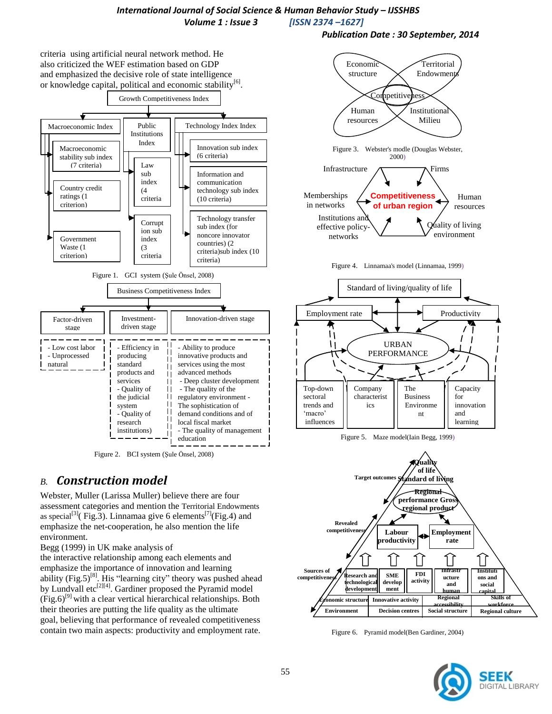*Publication Date : 30 September, 2014*



Figure 2. BCI system (Şule Önsel, 2008)

# *B. Construction model*

Webster, Muller (Larissa Muller) believe there are four assessment categories and mention the Territorial Endowments as special<sup>[\[3\]](file:///C:/Users/ired/Local%20Settings/Temporary%20Internet%20Files/Content.IE5/45Y9GZST/中外城市竞争力理论研究综述-完成.doc)</sup>(Fig.3). Linnamaa give 6 elements<sup>[7]</sup>(Fig.4) and emphasize the net-cooperation, he also mention the life environment.

Begg (1999) in UK make analysis of

the interactive relationship among each elements and emphasize the importance of innovation and learning ability (Fig.5)<sup>[8]</sup>. His "learning city" theory was pushed ahead by Lundvall etc<sup>[2][4]</sup>. Gardiner proposed the Pyramid model  $(Fig.6)^{9}$  with a clear vertical hierarchical relationships. Both their theories are putting the life quality as the ultimate goal, believing that performance of revealed competitiveness contain two main aspects: productivity and employment rate.



Figure 4. Linnamaa's model (Linnamaa, 1999)



Figure 5. Maze model(Iain Begg, 1999)



Figure 6. Pyramid model(Ben Gardiner, 2004)